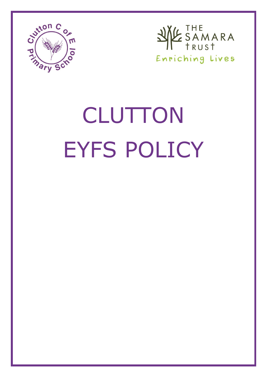



# **CLUTTON** EYFS POLICY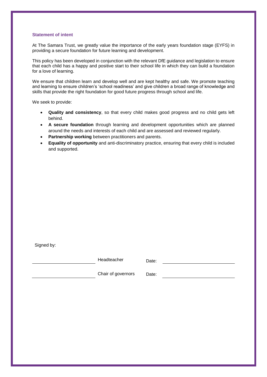### **Statement of intent**

At The Samara Trust, we greatly value the importance of the early years foundation stage (EYFS) in providing a secure foundation for future learning and development.

This policy has been developed in conjunction with the relevant DfE guidance and legislation to ensure that each child has a happy and positive start to their school life in which they can build a foundation for a love of learning.

We ensure that children learn and develop well and are kept healthy and safe. We promote teaching and learning to ensure children's 'school readiness' and give children a broad range of knowledge and skills that provide the right foundation for good future progress through school and life.

We seek to provide:

- **Quality and consistency**, so that every child makes good progress and no child gets left behind.
- **A secure foundation** through learning and development opportunities which are planned around the needs and interests of each child and are assessed and reviewed regularly.
- **Partnership working** between practitioners and parents.
- **Equality of opportunity** and anti-discriminatory practice, ensuring that every child is included and supported.

Signed by:

Headteacher Date:

Chair of governors Date: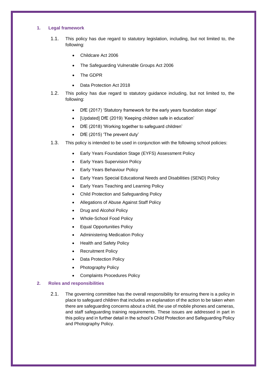# **1. Legal framework**

- 1.1. This policy has due regard to statutory legislation, including, but not limited to, the following:
	- Childcare Act 2006
	- The Safeguarding Vulnerable Groups Act 2006
	- The GDPR
	- Data Protection Act 2018
- 1.2. This policy has due regard to statutory guidance including, but not limited to, the following:
	- DfE (2017) 'Statutory framework for the early years foundation stage'
	- [Updated] DfE (2019) 'Keeping children safe in education'
	- DfE (2018) 'Working together to safeguard children'
	- DfE (2015) 'The prevent duty'
- 1.3. This policy is intended to be used in conjunction with the following school policies:
	- Early Years Foundation Stage (EYFS) Assessment Policy
	- Early Years Supervision Policy
	- Early Years Behaviour Policy
	- Early Years Special Educational Needs and Disabilities (SEND) Policy
	- Early Years Teaching and Learning Policy
	- Child Protection and Safeguarding Policy
	- Allegations of Abuse Against Staff Policy
	- Drug and Alcohol Policy
	- Whole-School Food Policy
	- Equal Opportunities Policy
	- Administering Medication Policy
	- Health and Safety Policy
	- Recruitment Policy
	- Data Protection Policy
	- Photography Policy
	- Complaints Procedures Policy

# **2. Roles and responsibilities**

2.1. The governing committee has the overall responsibility for ensuring there is a policy in place to safeguard children that includes an explanation of the action to be taken when there are safeguarding concerns about a child, the use of mobile phones and cameras, and staff safeguarding training requirements. These issues are addressed in part in this policy and in further detail in the school's Child Protection and Safeguarding Policy and Photography Policy.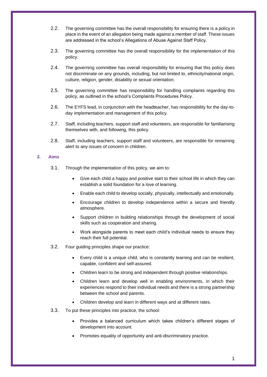- 2.2. The governing committee has the overall responsibility for ensuring there is a policy in place in the event of an allegation being made against a member of staff. These issues are addressed in the school's Allegations of Abuse Against Staff Policy.
- 2.3. The governing committee has the overall responsibility for the implementation of this policy.
- 2.4. The governing committee has overall responsibility for ensuring that this policy does not discriminate on any grounds, including, but not limited to, ethnicity/national origin, culture, religion, gender, disability or sexual orientation.
- 2.5. The governing committee has responsibility for handling complaints regarding this policy, as outlined in the school's Complaints Procedures Policy.
- 2.6. The EYFS lead, in conjunction with the headteacher, has responsibility for the day-today implementation and management of this policy.
- 2.7. Staff, including teachers, support staff and volunteers, are responsible for familiarising themselves with, and following, this policy.
- 2.8. Staff, including teachers, support staff and volunteers, are responsible for remaining alert to any issues of concern in children.

## **3. Aims**

- 3.1. Through the implementation of this policy, we aim to:
	- Give each child a happy and positive start to their school life in which they can establish a solid foundation for a love of learning.
	- Enable each child to develop socially, physically, intellectually and emotionally.
	- Encourage children to develop independence within a secure and friendly atmosphere.
	- Support children in building relationships through the development of social skills such as cooperation and sharing.
	- Work alongside parents to meet each child's individual needs to ensure they reach their full potential.
- 3.2. Four guiding principles shape our practice:
	- Every child is a unique child, who is constantly learning and can be resilient, capable, confident and self-assured.
	- Children learn to be strong and independent through positive relationships.
	- Children learn and develop well in enabling environments, in which their experiences respond to their individual needs and there is a strong partnership between the school and parents.
	- Children develop and learn in different ways and at different rates.
- 3.3. To put these principles into practice, the school:
	- Provides a balanced curriculum which takes children's different stages of development into account.
	- Promotes equality of opportunity and anti-discriminatory practice.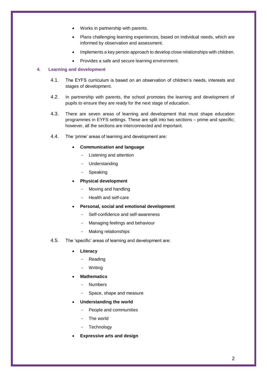- Works in partnership with parents.
- Plans challenging learning experiences, based on individual needs, which are informed by observation and assessment.
- Implements a key person approach to develop close relationships with children.
- Provides a safe and secure learning environment.

# **4. Learning and development**

- 4.1. The EYFS curriculum is based on an observation of children's needs, interests and stages of development.
- 4.2. In partnership with parents, the school promotes the learning and development of pupils to ensure they are ready for the next stage of education.
- 4.3. There are seven areas of learning and development that must shape education programmes in EYFS settings. These are split into two sections – prime and specific; however, all the sections are interconnected and important.
- 4.4. The 'prime' areas of learning and development are:

# **Communication and language**

- Listening and attention
- **Understanding**
- **Speaking**
- **Physical development** 
	- Moving and handling
	- Health and self-care
- **Personal, social and emotional development** 
	- Self-confidence and self-awareness
	- Managing feelings and behaviour
	- Making relationships
- 4.5. The 'specific' areas of learning and development are:
	- **Literacy** 
		- **Reading**
		- **Writing**
	- **Mathematics** 
		- Numbers
		- Space, shape and measure
	- **Understanding the world** 
		- People and communities
		- The world
		- **Technology**
	- **Expressive arts and design**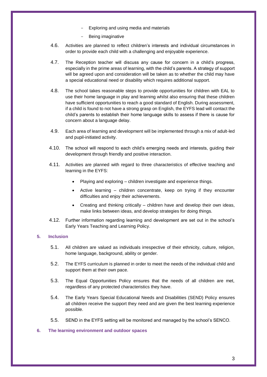- Exploring and using media and materials
- Being imaginative
- 4.6. Activities are planned to reflect children's interests and individual circumstances in order to provide each child with a challenging and enjoyable experience.
- 4.7. The Reception teacher will discuss any cause for concern in a child's progress, especially in the prime areas of learning, with the child's parents. A strategy of support will be agreed upon and consideration will be taken as to whether the child may have a special educational need or disability which requires additional support.
- 4.8. The school takes reasonable steps to provide opportunities for children with EAL to use their home language in play and learning whilst also ensuring that these children have sufficient opportunities to reach a good standard of English. During assessment, if a child is found to not have a strong grasp on English, the EYFS lead will contact the child's parents to establish their home language skills to assess if there is cause for concern about a language delay.
- 4.9. Each area of learning and development will be implemented through a mix of adult-led and pupil-initiated activity.
- 4.10. The school will respond to each child's emerging needs and interests, guiding their development through friendly and positive interaction.
- 4.11. Activities are planned with regard to three characteristics of effective teaching and learning in the EYFS:
	- Playing and exploring children investigate and experience things.
	- Active learning children concentrate, keep on trying if they encounter difficulties and enjoy their achievements.
	- Creating and thinking critically children have and develop their own ideas, make links between ideas, and develop strategies for doing things.
- 4.12. Further information regarding learning and development are set out in the school's Early Years Teaching and Learning Policy.

# **5. Inclusion**

- 5.1. All children are valued as individuals irrespective of their ethnicity, culture, religion, home language, background, ability or gender.
- 5.2. The EYFS curriculum is planned in order to meet the needs of the individual child and support them at their own pace.
- 5.3. The Equal Opportunities Policy ensures that the needs of all children are met, regardless of any protected characteristics they have.
- 5.4. The Early Years Special Educational Needs and Disabilities (SEND) Policy ensures all children receive the support they need and are given the best learning experience possible.
- 5.5. SEND in the EYFS setting will be monitored and managed by the school's SENCO.

## **6. The learning environment and outdoor spaces**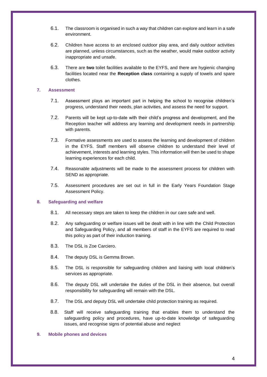- 6.1. The classroom is organised in such a way that children can explore and learn in a safe environment.
- 6.2. Children have access to an enclosed outdoor play area, and daily outdoor activities are planned, unless circumstances, such as the weather, would make outdoor activity inappropriate and unsafe.
- 6.3. There are **two** toilet facilities available to the EYFS, and there are hygienic changing facilities located near the **Reception class** containing a supply of towels and spare clothes.

# **7. Assessment**

- 7.1. Assessment plays an important part in helping the school to recognise children's progress, understand their needs, plan activities, and assess the need for support.
- 7.2. Parents will be kept up-to-date with their child's progress and development, and the Reception teacher will address any learning and development needs in partnership with parents.
- 7.3. Formative assessments are used to assess the learning and development of children in the EYFS. Staff members will observe children to understand their level of achievement, interests and learning styles. This information will then be used to shape learning experiences for each child.
- 7.4. Reasonable adjustments will be made to the assessment process for children with SEND as appropriate.
- 7.5. Assessment procedures are set out in full in the Early Years Foundation Stage Assessment Policy.

## **8. Safeguarding and welfare**

- 8.1. All necessary steps are taken to keep the children in our care safe and well.
- 8.2. Any safeguarding or welfare issues will be dealt with in line with the Child Protection and Safeguarding Policy, and all members of staff in the EYFS are required to read this policy as part of their induction training.
- 8.3. The DSL is Zoe Carciero.
- 8.4. The deputy DSL is Gemma Brown.
- 8.5. The DSL is responsible for safeguarding children and liaising with local children's services as appropriate.
- 8.6. The deputy DSL will undertake the duties of the DSL in their absence, but overall responsibility for safeguarding will remain with the DSL.
- 8.7. The DSL and deputy DSL will undertake child protection training as required.
- 8.8. Staff will receive safeguarding training that enables them to understand the safeguarding policy and procedures, have up-to-date knowledge of safeguarding issues, and recognise signs of potential abuse and neglect

## **9. Mobile phones and devices**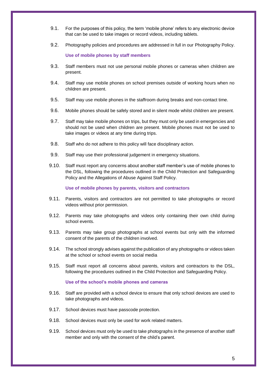- 9.1. For the purposes of this policy, the term 'mobile phone' refers to any electronic device that can be used to take images or record videos, including tablets.
- 9.2. Photography policies and procedures are addressed in full in our Photography Policy.

**Use of mobile phones by staff members**

- 9.3. Staff members must not use personal mobile phones or cameras when children are present.
- 9.4. Staff may use mobile phones on school premises outside of working hours when no children are present.
- 9.5. Staff may use mobile phones in the staffroom during breaks and non-contact time.
- 9.6. Mobile phones should be safely stored and in silent mode whilst children are present.
- 9.7. Staff may take mobile phones on trips, but they must only be used in emergencies and should not be used when children are present. Mobile phones must not be used to take images or videos at any time during trips.
- 9.8. Staff who do not adhere to this policy will face disciplinary action.
- 9.9. Staff may use their professional judgement in emergency situations.
- 9.10. Staff must report any concerns about another staff member's use of mobile phones to the DSL, following the procedures outlined in the Child Protection and Safeguarding Policy and the Allegations of Abuse Against Staff Policy.

**Use of mobile phones by parents, visitors and contractors**

- 9.11. Parents, visitors and contractors are not permitted to take photographs or record videos without prior permission.
- 9.12. Parents may take photographs and videos only containing their own child during school events.
- 9.13. Parents may take group photographs at school events but only with the informed consent of the parents of the children involved.
- 9.14. The school strongly advises against the publication of any photographs or videos taken at the school or school events on social media
- 9.15. Staff must report all concerns about parents, visitors and contractors to the DSL, following the procedures outlined in the Child Protection and Safeguarding Policy.

## **Use of the school's mobile phones and cameras**

- 9.16. Staff are provided with a school device to ensure that only school devices are used to take photographs and videos.
- 9.17. School devices must have passcode protection.
- 9.18. School devices must only be used for work related matters.
- 9.19. School devices must only be used to take photographs in the presence of another staff member and only with the consent of the child's parent.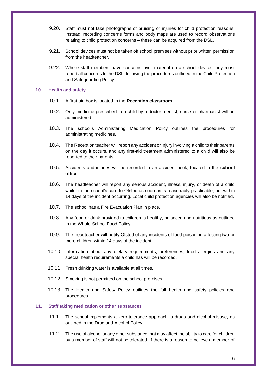- 9.20. Staff must not take photographs of bruising or injuries for child protection reasons. Instead, recording concerns forms and body maps are used to record observations relating to child protection concerns – these can be acquired from the DSL.
- 9.21. School devices must not be taken off school premises without prior written permission from the headteacher.
- 9.22. Where staff members have concerns over material on a school device, they must report all concerns to the DSL, following the procedures outlined in the Child Protection and Safeguarding Policy.

### **10. Health and safety**

- 10.1. A first-aid box is located in the **Reception classroom**.
- 10.2. Only medicine prescribed to a child by a doctor, dentist, nurse or pharmacist will be administered.
- 10.3. The school's Administering Medication Policy outlines the procedures for administrating medicines.
- 10.4. The Reception teacher will report any accident or injury involving a child to their parents on the day it occurs, and any first-aid treatment administered to a child will also be reported to their parents.
- 10.5. Accidents and injuries will be recorded in an accident book, located in the **school office**.
- 10.6. The headteacher will report any serious accident, illness, injury, or death of a child whilst in the school's care to Ofsted as soon as is reasonably practicable, but within 14 days of the incident occurring. Local child protection agencies will also be notified.
- 10.7. The school has a Fire Evacuation Plan in place.
- 10.8. Any food or drink provided to children is healthy, balanced and nutritious as outlined in the Whole-School Food Policy.
- 10.9. The headteacher will notify Ofsted of any incidents of food poisoning affecting two or more children within 14 days of the incident.
- 10.10. Information about any dietary requirements, preferences, food allergies and any special health requirements a child has will be recorded.
- 10.11. Fresh drinking water is available at all times.
- 10.12. Smoking is not permitted on the school premises.
- 10.13. The Health and Safety Policy outlines the full health and safety policies and procedures.

### **11. Staff taking medication or other substances**

- 11.1. The school implements a zero-tolerance approach to drugs and alcohol misuse, as outlined in the Drug and Alcohol Policy.
- 11.2. The use of alcohol or any other substance that may affect the ability to care for children by a member of staff will not be tolerated. If there is a reason to believe a member of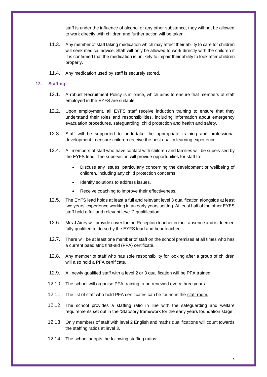staff is under the influence of alcohol or any other substance, they will not be allowed to work directly with children and further action will be taken.

- 11.3. Any member of staff taking medication which may affect their ability to care for children will seek medical advice. Staff will only be allowed to work directly with the children if it is confirmed that the medication is unlikely to impair their ability to look after children properly.
- 11.4. Any medication used by staff is securely stored.

### **12. Staffing**

- 12.1. A robust Recruitment Policy is in place, which aims to ensure that members of staff employed in the EYFS are suitable.
- 12.2. Upon employment, all EYFS staff receive induction training to ensure that they understand their roles and responsibilities, including information about emergency evacuation procedures, safeguarding, child protection and health and safety.
- 12.3. Staff will be supported to undertake the appropriate training and professional development to ensure children receive the best quality learning experience.
- 12.4. All members of staff who have contact with children and families will be supervised by the EYFS lead. The supervision will provide opportunities for staff to:
	- Discuss any issues, particularly concerning the development or wellbeing of children, including any child protection concerns.
	- Identify solutions to address issues.
	- Receive coaching to improve their effectiveness.
- 12.5. The EYFS lead holds at least a full and relevant level 3 qualification alongside at least two years' experience working in an early years setting. At least half of the other EYFS staff hold a full and relevant level 2 qualification.
- 12.6. Mrs J Airey will provide cover for the Reception teacher in their absence and is deemed fully qualified to do so by the EYFS lead and headteacher.
- 12.7. There will be at least one member of staff on the school premises at all times who has a current paediatric first-aid (PFA) certificate.
- 12.8. Any member of staff who has sole responsibility for looking after a group of children will also hold a PFA certificate.
- 12.9. All newly qualified staff with a level 2 or 3 qualification will be PFA trained.
- 12.10. The school will organise PFA training to be renewed every three years.
- 12.11. The list of staff who hold PFA certificates can be found in the staff room.
- 12.12. The school provides a staffing ratio in line with the safeguarding and welfare requirements set out in the 'Statutory framework for the early years foundation stage'.
- 12.13. Only members of staff with level 2 English and maths qualifications will count towards the staffing ratios at level 3.
- 12.14. The school adopts the following staffing ratios: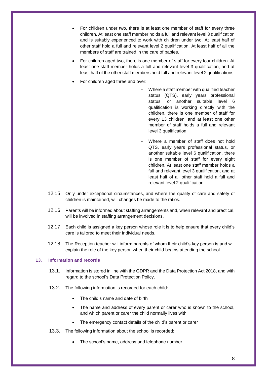- For children under two, there is at least one member of staff for every three children. At least one staff member holds a full and relevant level 3 qualification and is suitably experienced to work with children under two. At least half of other staff hold a full and relevant level 2 qualification. At least half of all the members of staff are trained in the care of babies.
- For children aged two, there is one member of staff for every four children. At least one staff member holds a full and relevant level 3 qualification, and at least half of the other staff members hold full and relevant level 2 qualifications.
- For children aged three and over:
	- Where a staff member with qualified teacher status (QTS), early years professional status, or another suitable level 6 qualification is working directly with the children, there is one member of staff for every 13 children, and at least one other member of staff holds a full and relevant level 3 qualification.
	- Where a member of staff does not hold QTS, early years professional status, or another suitable level 6 qualification, there is one member of staff for every eight children. At least one staff member holds a full and relevant level 3 qualification, and at least half of all other staff hold a full and relevant level 2 qualification.
- 12.15. Only under exceptional circumstances, and where the quality of care and safety of children is maintained, will changes be made to the ratios.
- 12.16. Parents will be informed about staffing arrangements and, when relevant and practical, will be involved in staffing arrangement decisions.
- 12.17. Each child is assigned a key person whose role it is to help ensure that every child's care is tailored to meet their individual needs.
- 12.18. The Reception teacher will inform parents of whom their child's key person is and will explain the role of the key person when their child begins attending the school.

## **13. Information and records**

- 13.1. Information is stored in line with the GDPR and the Data Protection Act 2018, and with regard to the school's Data Protection Policy.
- 13.2. The following information is recorded for each child:
	- The child's name and date of birth
	- The name and address of every parent or carer who is known to the school, and which parent or carer the child normally lives with
	- The emergency contact details of the child's parent or carer
- 13.3. The following information about the school is recorded:
	- The school's name, address and telephone number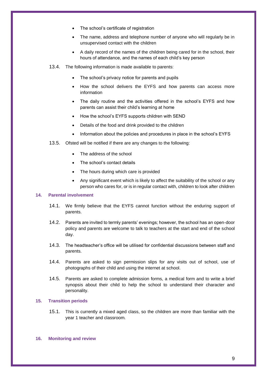- The school's certificate of registration
- The name, address and telephone number of anyone who will regularly be in unsupervised contact with the children
- A daily record of the names of the children being cared for in the school, their hours of attendance, and the names of each child's key person
- 13.4. The following information is made available to parents:
	- The school's privacy notice for parents and pupils
	- How the school delivers the EYFS and how parents can access more information
	- The daily routine and the activities offered in the school's EYFS and how parents can assist their child's learning at home
	- How the school's EYFS supports children with SEND
	- Details of the food and drink provided to the children
	- Information about the policies and procedures in place in the school's EYFS
- 13.5. Ofsted will be notified if there are any changes to the following:
	- The address of the school
	- The school's contact details
	- The hours during which care is provided
	- Any significant event which is likely to affect the suitability of the school or any person who cares for, or is in regular contact with, children to look after children

## **14. Parental involvement**

- 14.1. We firmly believe that the EYFS cannot function without the enduring support of parents.
- 14.2. Parents are invited to termly parents' evenings; however, the school has an open-door policy and parents are welcome to talk to teachers at the start and end of the school day.
- 14.3. The headteacher's office will be utilised for confidential discussions between staff and parents.
- 14.4. Parents are asked to sign permission slips for any visits out of school, use of photographs of their child and using the internet at school.
- 14.5. Parents are asked to complete admission forms, a medical form and to write a brief synopsis about their child to help the school to understand their character and personality.

# **15. Transition periods**

15.1. This is currently a mixed aged class, so the children are more than familiar with the year 1 teacher and classroom.

### **16. Monitoring and review**